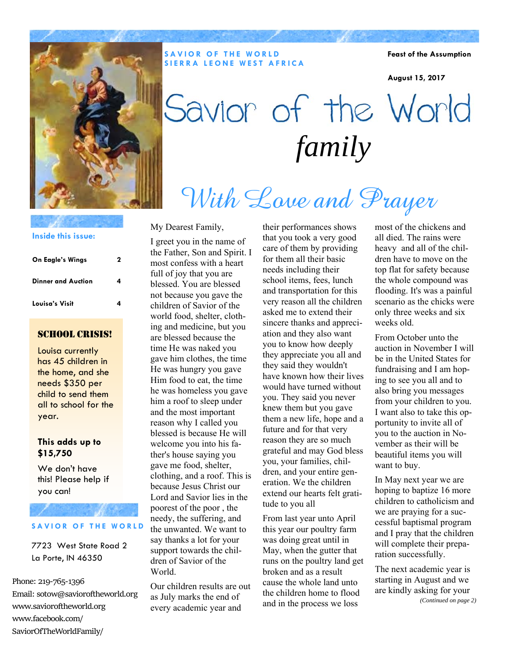

**SAVIOR OF THE WORLD SIERRA LEONE WEST AFRICA** 

**Feast of the Assumption** 

**August 15, 2017** 

# Savior of the World *family*

# With Love and Prayer

#### **Inside this issue:**

| On Eagle's Wings          | 2 |
|---------------------------|---|
| <b>Dinner and Auction</b> | 4 |
| Louisa's Visit            | 4 |

### SCHOOL CRISIS!

Louisa currently has 45 children in the home, and she needs \$350 per child to send them all to school for the year.

### **This adds up to \$15,750**

We don't have this! Please help if you can!

### **SAVIOR OF THE WORLD**

7723 West State Road 2 La Porte, IN 46350

Phone: 219‐765‐1396

Email: sotow@savioroftheworld.org www.savioroftheworld.org www.facebook.com/ SaviorOfTheWorldFamily/

My Dearest Family,

I greet you in the name of the Father, Son and Spirit. I most confess with a heart full of joy that you are blessed. You are blessed not because you gave the children of Savior of the world food, shelter, clothing and medicine, but you are blessed because the time He was naked you gave him clothes, the time He was hungry you gave Him food to eat, the time he was homeless you gave him a roof to sleep under and the most important reason why I called you blessed is because He will welcome you into his father's house saying you gave me food, shelter, clothing, and a roof. This is because Jesus Christ our Lord and Savior lies in the poorest of the poor , the needy, the suffering, and the unwanted. We want to say thanks a lot for your support towards the children of Savior of the World.

Our children results are out as July marks the end of every academic year and

their performances shows that you took a very good care of them by providing for them all their basic needs including their school items, fees, lunch and transportation for this very reason all the children asked me to extend their sincere thanks and appreciation and they also want you to know how deeply they appreciate you all and they said they wouldn't have known how their lives would have turned without you. They said you never knew them but you gave them a new life, hope and a future and for that very reason they are so much grateful and may God bless you, your families, children, and your entire generation. We the children extend our hearts felt gratitude to you all

From last year unto April this year our poultry farm was doing great until in May, when the gutter that runs on the poultry land get broken and as a result cause the whole land unto the children home to flood and in the process we loss

most of the chickens and all died. The rains were heavy and all of the children have to move on the top flat for safety because the whole compound was flooding. It's was a painful scenario as the chicks were only three weeks and six weeks old.

From October unto the auction in November I will be in the United States for fundraising and I am hoping to see you all and to also bring you messages from your children to you. I want also to take this opportunity to invite all of you to the auction in November as their will be beautiful items you will want to buy.

In May next year we are hoping to baptize 16 more children to catholicism and we are praying for a successful baptismal program and I pray that the children will complete their preparation successfully.

The next academic year is starting in August and we are kindly asking for your *(Continued on page 2)*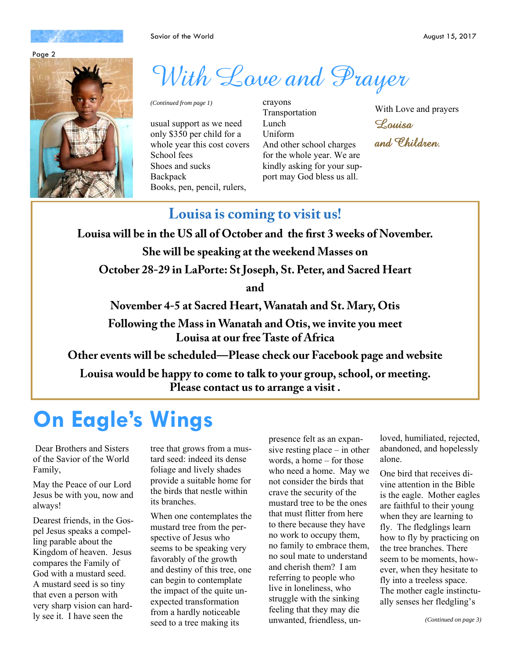



# With Love and Prayer

*(Continued from page 1)* crayons

usual support as we need only \$350 per child for a whole year this cost covers School fees Shoes and sucks **Backpack** Books, pen, pencil, rulers,

Transportation Lunch Uniform And other school charges for the whole year. We are kindly asking for your support may God bless us all.

With Love and prayers

Louisa

and Children.

### **Louisa is coming to visit us!**

**Louisa will be in the US all of October and the first 3 weeks of November.** 

**She will be speaking at the weekend Masses on** 

**October 28-29 in LaPorte: St Joseph, St. Peter, and Sacred Heart** 

**and** 

**November 4-5 at Sacred Heart, Wanatah and St. Mary, Otis** 

**Following the Mass in Wanatah and Otis, we invite you meet Louisa at our free Taste of Africa** 

**Other events will be scheduled—Please check our Facebook page and website** 

**Louisa would be happy to come to talk to your group, school, or meeting. Please contact us to arrange a visit .** 

## **On Eagle's Wings**

 Dear Brothers and Sisters of the Savior of the World Family,

May the Peace of our Lord Jesus be with you, now and always!

Dearest friends, in the Gospel Jesus speaks a compelling parable about the Kingdom of heaven. Jesus compares the Family of God with a mustard seed. A mustard seed is so tiny that even a person with very sharp vision can hardly see it. I have seen the

tree that grows from a mustard seed: indeed its dense foliage and lively shades provide a suitable home for the birds that nestle within its branches.

When one contemplates the mustard tree from the perspective of Jesus who seems to be speaking very favorably of the growth and destiny of this tree, one can begin to contemplate the impact of the quite unexpected transformation from a hardly noticeable seed to a tree making its

presence felt as an expansive resting place – in other words, a home – for those who need a home. May we not consider the birds that crave the security of the mustard tree to be the ones that must flitter from here to there because they have no work to occupy them, no family to embrace them, no soul mate to understand and cherish them? I am referring to people who live in loneliness, who struggle with the sinking feeling that they may die unwanted, friendless, unloved, humiliated, rejected, abandoned, and hopelessly alone.

One bird that receives divine attention in the Bible is the eagle. Mother eagles are faithful to their young when they are learning to fly. The fledglings learn how to fly by practicing on the tree branches. There seem to be moments, however, when they hesitate to fly into a treeless space. The mother eagle instinctually senses her fledgling's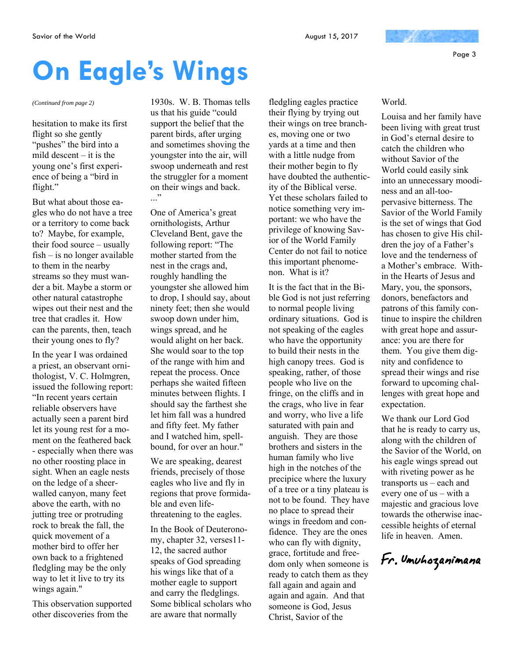Page 3

# **On Eagle's Wings**

hesitation to make its first flight so she gently "pushes" the bird into a mild descent – it is the young one's first experience of being a "bird in flight."

But what about those eagles who do not have a tree or a territory to come back to? Maybe, for example, their food source – usually fish – is no longer available to them in the nearby streams so they must wander a bit. Maybe a storm or other natural catastrophe wipes out their nest and the tree that cradles it. How can the parents, then, teach their young ones to fly?

In the year I was ordained a priest, an observant ornithologist, V. C. Holmgren, issued the following report: "In recent years certain reliable observers have actually seen a parent bird let its young rest for a moment on the feathered back - especially when there was no other roosting place in sight. When an eagle nests on the ledge of a sheerwalled canyon, many feet above the earth, with no jutting tree or protruding rock to break the fall, the quick movement of a mother bird to offer her own back to a frightened fledgling may be the only way to let it live to try its wings again."

This observation supported other discoveries from the

*(Continued from page 2)* 1930s. W. B. Thomas tells us that his guide "could support the belief that the parent birds, after urging and sometimes shoving the youngster into the air, will swoop underneath and rest the struggler for a moment on their wings and back.  $\cdot$ ..."

> One of America's great ornithologists, Arthur Cleveland Bent, gave the following report: "The mother started from the nest in the crags and, roughly handling the youngster she allowed him to drop, I should say, about ninety feet; then she would swoop down under him, wings spread, and he would alight on her back. She would soar to the top of the range with him and repeat the process. Once perhaps she waited fifteen minutes between flights. I should say the farthest she let him fall was a hundred and fifty feet. My father and I watched him, spellbound, for over an hour."

> We are speaking, dearest friends, precisely of those eagles who live and fly in regions that prove formidable and even lifethreatening to the eagles.

In the Book of Deuteronomy, chapter 32, verses11- 12, the sacred author speaks of God spreading his wings like that of a mother eagle to support and carry the fledglings. Some biblical scholars who are aware that normally

fledgling eagles practice their flying by trying out their wings on tree branches, moving one or two yards at a time and then with a little nudge from their mother begin to fly have doubted the authenticity of the Biblical verse. Yet these scholars failed to notice something very important: we who have the privilege of knowing Savior of the World Family Center do not fail to notice this important phenomenon. What is it?

It is the fact that in the Bible God is not just referring to normal people living ordinary situations. God is not speaking of the eagles who have the opportunity to build their nests in the high canopy trees. God is speaking, rather, of those people who live on the fringe, on the cliffs and in the crags, who live in fear and worry, who live a life saturated with pain and anguish. They are those brothers and sisters in the human family who live high in the notches of the precipice where the luxury of a tree or a tiny plateau is not to be found. They have no place to spread their wings in freedom and confidence. They are the ones who can fly with dignity, grace, fortitude and freedom only when someone is ready to catch them as they fall again and again and again and again. And that someone is God, Jesus Christ, Savior of the

### World.

Louisa and her family have been living with great trust in God's eternal desire to catch the children who without Savior of the World could easily sink into an unnecessary moodiness and an all-toopervasive bitterness. The Savior of the World Family is the set of wings that God has chosen to give His children the joy of a Father's love and the tenderness of a Mother's embrace. Within the Hearts of Jesus and Mary, you, the sponsors, donors, benefactors and patrons of this family continue to inspire the children with great hope and assurance: you are there for them. You give them dignity and confidence to spread their wings and rise forward to upcoming challenges with great hope and expectation.

We thank our Lord God that he is ready to carry us, along with the children of the Savior of the World, on his eagle wings spread out with riveting power as he transports us – each and every one of us – with a majestic and gracious love towards the otherwise inaccessible heights of eternal life in heaven. Amen.

Fr. Umuhozanimana